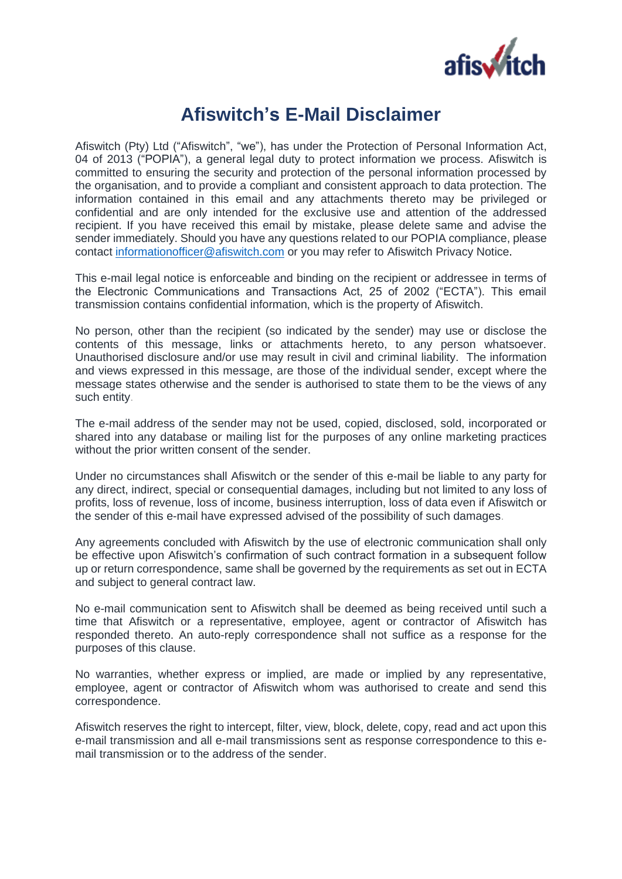

## **Afiswitch's E-Mail Disclaimer**

Afiswitch (Pty) Ltd ("Afiswitch", "we"), has under the Protection of Personal Information Act, 04 of 2013 ("POPIA"), a general legal duty to protect information we process. Afiswitch is committed to ensuring the security and protection of the personal information processed by the organisation, and to provide a compliant and consistent approach to data protection. The information contained in this email and any attachments thereto may be privileged or confidential and are only intended for the exclusive use and attention of the addressed recipient. If you have received this email by mistake, please delete same and advise the sender immediately. Should you have any questions related to our POPIA compliance, please contact [informationofficer@afiswitch.com](mailto:informationofficer@afiswitch.com) or you may refer to Afiswitch Privacy Notice.

This e-mail legal notice is enforceable and binding on the recipient or addressee in terms of the Electronic Communications and Transactions Act, 25 of 2002 ("ECTA"). This email transmission contains confidential information, which is the property of Afiswitch.

No person, other than the recipient (so indicated by the sender) may use or disclose the contents of this message, links or attachments hereto, to any person whatsoever. Unauthorised disclosure and/or use may result in civil and criminal liability. The information and views expressed in this message, are those of the individual sender, except where the message states otherwise and the sender is authorised to state them to be the views of any such entity.

The e-mail address of the sender may not be used, copied, disclosed, sold, incorporated or shared into any database or mailing list for the purposes of any online marketing practices without the prior written consent of the sender.

Under no circumstances shall Afiswitch or the sender of this e-mail be liable to any party for any direct, indirect, special or consequential damages, including but not limited to any loss of profits, loss of revenue, loss of income, business interruption, loss of data even if Afiswitch or the sender of this e-mail have expressed advised of the possibility of such damages.

Any agreements concluded with Afiswitch by the use of electronic communication shall only be effective upon Afiswitch's confirmation of such contract formation in a subsequent follow up or return correspondence, same shall be governed by the requirements as set out in ECTA and subject to general contract law.

No e-mail communication sent to Afiswitch shall be deemed as being received until such a time that Afiswitch or a representative, employee, agent or contractor of Afiswitch has responded thereto. An auto-reply correspondence shall not suffice as a response for the purposes of this clause.

No warranties, whether express or implied, are made or implied by any representative, employee, agent or contractor of Afiswitch whom was authorised to create and send this correspondence.

Afiswitch reserves the right to intercept, filter, view, block, delete, copy, read and act upon this e-mail transmission and all e-mail transmissions sent as response correspondence to this email transmission or to the address of the sender.